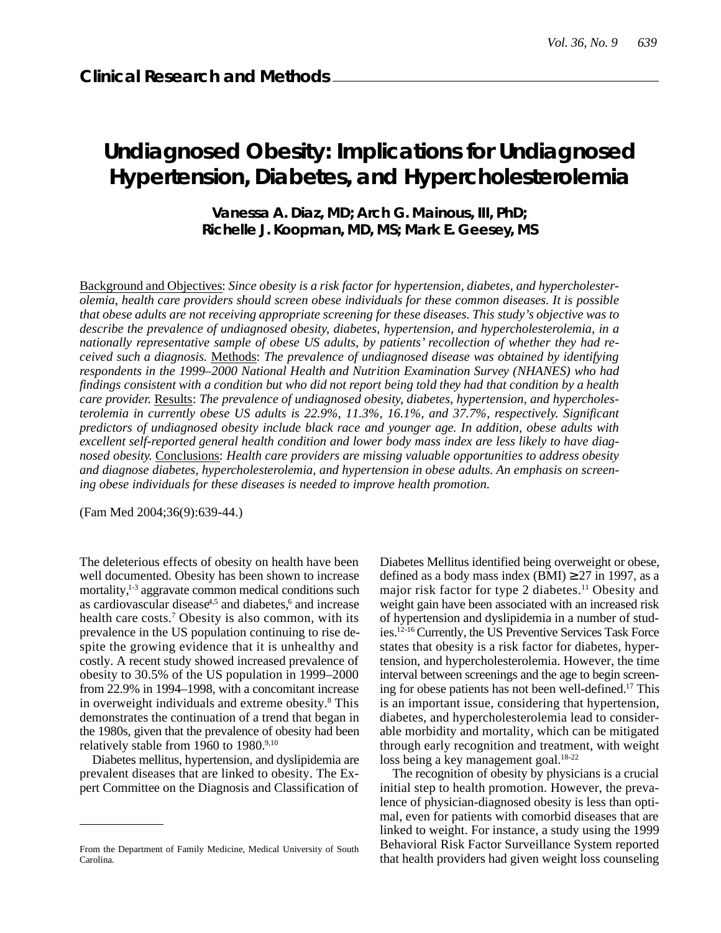# **Undiagnosed Obesity: Implications for Undiagnosed Hypertension, Diabetes, and Hypercholesterolemia**

**Vanessa A. Diaz, MD; Arch G. Mainous, III, PhD; Richelle J. Koopman, MD, MS; Mark E. Geesey, MS**

Background and Objectives: *Since obesity is a risk factor for hypertension, diabetes, and hypercholesterolemia, health care providers should screen obese individuals for these common diseases. It is possible that obese adults are not receiving appropriate screening for these diseases. This study's objective was to describe the prevalence of undiagnosed obesity, diabetes, hypertension, and hypercholesterolemia, in a nationally representative sample of obese US adults, by patients' recollection of whether they had received such a diagnosis.* Methods: *The prevalence of undiagnosed disease was obtained by identifying respondents in the 1999–2000 National Health and Nutrition Examination Survey (NHANES) who had findings consistent with a condition but who did not report being told they had that condition by a health care provider.* Results: *The prevalence of undiagnosed obesity, diabetes, hypertension, and hypercholesterolemia in currently obese US adults is 22.9%, 11.3%, 16.1%, and 37.7%, respectively. Significant predictors of undiagnosed obesity include black race and younger age. In addition, obese adults with excellent self-reported general health condition and lower body mass index are less likely to have diagnosed obesity.* Conclusions: *Health care providers are missing valuable opportunities to address obesity and diagnose diabetes, hypercholesterolemia, and hypertension in obese adults. An emphasis on screening obese individuals for these diseases is needed to improve health promotion.*

(Fam Med 2004;36(9):639-44.)

The deleterious effects of obesity on health have been well documented. Obesity has been shown to increase mortality, $1-3$  aggravate common medical conditions such as cardiovascular disease $4.5$  and diabetes, $6$  and increase health care costs.<sup>7</sup> Obesity is also common, with its prevalence in the US population continuing to rise despite the growing evidence that it is unhealthy and costly. A recent study showed increased prevalence of obesity to 30.5% of the US population in 1999–2000 from 22.9% in 1994–1998, with a concomitant increase in overweight individuals and extreme obesity.<sup>8</sup> This demonstrates the continuation of a trend that began in the 1980s, given that the prevalence of obesity had been relatively stable from 1960 to 1980. $9,10$ 

Diabetes mellitus, hypertension, and dyslipidemia are prevalent diseases that are linked to obesity. The Expert Committee on the Diagnosis and Classification of Diabetes Mellitus identified being overweight or obese, defined as a body mass index (BMI) 27 in 1997, as a major risk factor for type 2 diabetes.<sup>11</sup> Obesity and weight gain have been associated with an increased risk of hypertension and dyslipidemia in a number of studies.12-16 Currently, the US Preventive Services Task Force states that obesity is a risk factor for diabetes, hypertension, and hypercholesterolemia. However, the time interval between screenings and the age to begin screening for obese patients has not been well-defined.<sup>17</sup> This is an important issue, considering that hypertension, diabetes, and hypercholesterolemia lead to considerable morbidity and mortality, which can be mitigated through early recognition and treatment, with weight loss being a key management goal.<sup>18-22</sup>

The recognition of obesity by physicians is a crucial initial step to health promotion. However, the prevalence of physician-diagnosed obesity is less than optimal, even for patients with comorbid diseases that are linked to weight. For instance, a study using the 1999 Behavioral Risk Factor Surveillance System reported that health providers had given weight loss counseling

From the Department of Family Medicine, Medical University of South Carolina.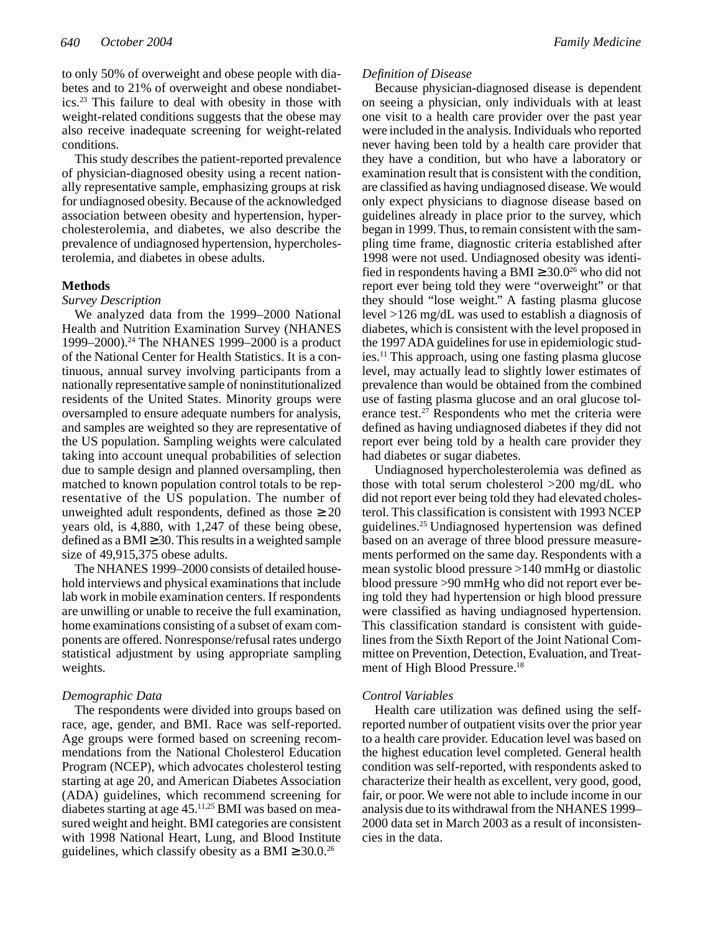to only 50% of overweight and obese people with diabetes and to 21% of overweight and obese nondiabetics.<sup>23</sup> This failure to deal with obesity in those with weight-related conditions suggests that the obese may also receive inadequate screening for weight-related conditions.

This study describes the patient-reported prevalence of physician-diagnosed obesity using a recent nationally representative sample, emphasizing groups at risk for undiagnosed obesity. Because of the acknowledged association between obesity and hypertension, hypercholesterolemia, and diabetes, we also describe the prevalence of undiagnosed hypertension, hypercholesterolemia, and diabetes in obese adults.

#### **Methods**

#### *Survey Description*

We analyzed data from the 1999–2000 National Health and Nutrition Examination Survey (NHANES 1999–2000).<sup>24</sup> The NHANES 1999–2000 is a product of the National Center for Health Statistics. It is a continuous, annual survey involving participants from a nationally representative sample of noninstitutionalized residents of the United States. Minority groups were oversampled to ensure adequate numbers for analysis, and samples are weighted so they are representative of the US population. Sampling weights were calculated taking into account unequal probabilities of selection due to sample design and planned oversampling, then matched to known population control totals to be representative of the US population. The number of unweighted adult respondents, defined as those years old, is 4,880, with 1,247 of these being obese, defined as a BMI 30. This results in a weighted sample size of 49,915,375 obese adults.

The NHANES 1999–2000 consists of detailed household interviews and physical examinations that include lab work in mobile examination centers. If respondents are unwilling or unable to receive the full examination, home examinations consisting of a subset of exam components are offered. Nonresponse/refusal rates undergo statistical adjustment by using appropriate sampling weights.

# *Demographic Data*

The respondents were divided into groups based on race, age, gender, and BMI. Race was self-reported. Age groups were formed based on screening recommendations from the National Cholesterol Education Program (NCEP), which advocates cholesterol testing starting at age 20, and American Diabetes Association (ADA) guidelines, which recommend screening for diabetes starting at age 45.<sup>11,25</sup> BMI was based on measured weight and height. BMI categories are consistent with 1998 National Heart, Lung, and Blood Institute guidelines, which classify obesity as a BMI  $30.0^{26}$ 

### *Definition of Disease*

Because physician-diagnosed disease is dependent on seeing a physician, only individuals with at least one visit to a health care provider over the past year were included in the analysis. Individuals who reported never having been told by a health care provider that they have a condition, but who have a laboratory or examination result that is consistent with the condition, are classified as having undiagnosed disease. We would only expect physicians to diagnose disease based on guidelines already in place prior to the survey, which began in 1999. Thus, to remain consistent with the sampling time frame, diagnostic criteria established after 1998 were not used. Undiagnosed obesity was identified in respondents having a BMI  $30.0^{26}$  who did not report ever being told they were "overweight" or that they should "lose weight." A fasting plasma glucose level >126 mg/dL was used to establish a diagnosis of diabetes, which is consistent with the level proposed in the 1997 ADA guidelines for use in epidemiologic studies.<sup>11</sup> This approach, using one fasting plasma glucose level, may actually lead to slightly lower estimates of prevalence than would be obtained from the combined use of fasting plasma glucose and an oral glucose tolerance test.<sup>27</sup> Respondents who met the criteria were defined as having undiagnosed diabetes if they did not report ever being told by a health care provider they had diabetes or sugar diabetes.

Undiagnosed hypercholesterolemia was defined as those with total serum cholesterol >200 mg/dL who did not report ever being told they had elevated cholesterol. This classification is consistent with 1993 NCEP guidelines.<sup>25</sup>Undiagnosed hypertension was defined based on an average of three blood pressure measurements performed on the same day. Respondents with a mean systolic blood pressure >140 mmHg or diastolic blood pressure >90 mmHg who did not report ever being told they had hypertension or high blood pressure were classified as having undiagnosed hypertension. This classification standard is consistent with guidelines from the Sixth Report of the Joint National Committee on Prevention, Detection, Evaluation, and Treatment of High Blood Pressure.<sup>18</sup>

# *Control Variables*

Health care utilization was defined using the selfreported number of outpatient visits over the prior year to a health care provider. Education level was based on the highest education level completed. General health condition was self-reported, with respondents asked to characterize their health as excellent, very good, good, fair, or poor. We were not able to include income in our analysis due to its withdrawal from the NHANES 1999– 2000 data set in March 2003 as a result of inconsistencies in the data.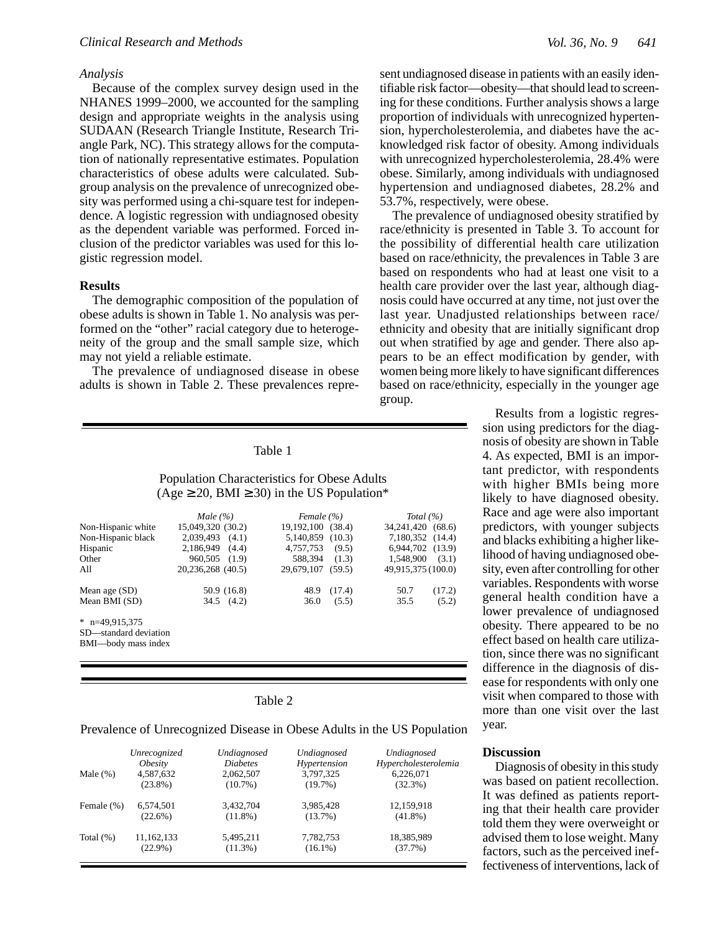#### *Analysis*

Because of the complex survey design used in the NHANES 1999–2000, we accounted for the sampling design and appropriate weights in the analysis using SUDAAN (Research Triangle Institute, Research Triangle Park, NC). This strategy allows for the computation of nationally representative estimates. Population characteristics of obese adults were calculated. Subgroup analysis on the prevalence of unrecognized obesity was performed using a chi-square test for independence. A logistic regression with undiagnosed obesity as the dependent variable was performed. Forced inclusion of the predictor variables was used for this logistic regression model.

## **Results**

The demographic composition of the population of obese adults is shown in Table 1. No analysis was performed on the "other" racial category due to heterogeneity of the group and the small sample size, which may not yield a reliable estimate.

The prevalence of undiagnosed disease in obese adults is shown in Table 2. These prevalences repre-

### Table 1

Population Characteristics for Obese Adults (Age 20, BMI 30) in the US Population\*

|                       | Male $(\% )$       | Female (%)        |        | Total $(\% )$      |
|-----------------------|--------------------|-------------------|--------|--------------------|
| Non-Hispanic white    | 15,049,320 (30.2)  | 19,192,100 (38.4) |        | 34,241,420 (68.6)  |
| Non-Hispanic black    | 2.039.493<br>(4.1) | 5.140.859 (10.3)  |        | 7,180,352 (14.4)   |
| Hispanic              | 2.186.949<br>(4.4) | 4.757.753         | (9.5)  | 6.944.702 (13.9)   |
| Other                 | 960,505 (1.9)      | 588.394           | (1.3)  | 1.548.900<br>(3.1) |
| A11                   | 20,236,268 (40.5)  | 29.679.107 (59.5) |        | 49,915,375 (100.0) |
| Mean age $(SD)$       | 50.9 (16.8)        | 48.9              | (17.4) | 50.7<br>(17.2)     |
| Mean BMI (SD)         | $34.5$ $(4.2)$     | 36.0              | (5.5)  | 35.5<br>(5.2)      |
| $*$ n=49.915.375      |                    |                   |        |                    |
| SD—standard deviation |                    |                   |        |                    |
| BMI-body mass index   |                    |                   |        |                    |
|                       |                    |                   |        |                    |

Table 2

Prevalence of Unrecognized Disease in Obese Adults in the US Population

| Male $(\%)$  | Unrecognized          | Undiagnosed     | Undiagnosed  | Undiagnosed          |
|--------------|-----------------------|-----------------|--------------|----------------------|
|              | <i><b>Obesity</b></i> | <b>Diabetes</b> | Hypertension | Hypercholesterolemia |
|              | 4,587,632             | 2,062,507       | 3,797,325    | 6,226,071            |
|              | $(23.8\%)$            | $(10.7\%)$      | $(19.7\%)$   | (32.3%)              |
| Female (%)   | 6,574,501             | 3,432,704       | 3,985,428    | 12,159,918           |
|              | $(22.6\%)$            | $(11.8\%)$      | (13.7%)      | $(41.8\%)$           |
| Total $(\%)$ | 11,162,133            | 5,495,211       | 7,782,753    | 18,385,989           |
|              | $(22.9\%)$            | $(11.3\%)$      | $(16.1\%)$   | (37.7%)              |

sent undiagnosed disease in patients with an easily identifiable risk factor—obesity—that should lead to screening for these conditions. Further analysis shows a large proportion of individuals with unrecognized hypertension, hypercholesterolemia, and diabetes have the acknowledged risk factor of obesity. Among individuals with unrecognized hypercholesterolemia, 28.4% were obese. Similarly, among individuals with undiagnosed hypertension and undiagnosed diabetes, 28.2% and 53.7%, respectively, were obese.

The prevalence of undiagnosed obesity stratified by race/ethnicity is presented in Table 3. To account for the possibility of differential health care utilization based on race/ethnicity, the prevalences in Table 3 are based on respondents who had at least one visit to a health care provider over the last year, although diagnosis could have occurred at any time, not just over the last year. Unadjusted relationships between race/ ethnicity and obesity that are initially significant drop out when stratified by age and gender. There also appears to be an effect modification by gender, with women being more likely to have significant differences based on race/ethnicity, especially in the younger age group.

> Results from a logistic regression using predictors for the diagnosis of obesity are shown in Table 4. As expected, BMI is an important predictor, with respondents with higher BMIs being more likely to have diagnosed obesity. Race and age were also important predictors, with younger subjects and blacks exhibiting a higher likelihood of having undiagnosed obesity, even after controlling for other variables. Respondents with worse general health condition have a lower prevalence of undiagnosed obesity. There appeared to be no effect based on health care utilization, since there was no significant difference in the diagnosis of disease for respondents with only one visit when compared to those with more than one visit over the last year.

#### **Discussion**

Diagnosis of obesity in this study was based on patient recollection. It was defined as patients reporting that their health care provider told them they were overweight or advised them to lose weight. Many factors, such as the perceived ineffectiveness of interventions, lack of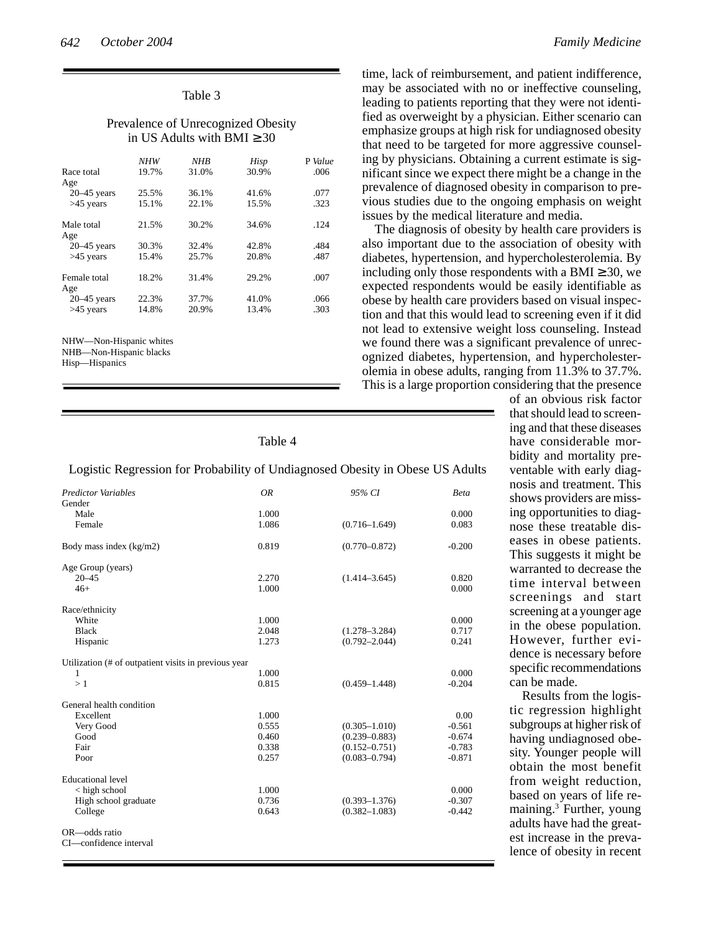| Table |  |
|-------|--|
|-------|--|

## Prevalence of Unrecognized Obesity in US Adults with BMI 30

|                         | NHW   | NHB   | Hisp  | P Value |
|-------------------------|-------|-------|-------|---------|
| Race total              | 19.7% | 31.0% | 30.9% | .006    |
| Age                     |       |       |       |         |
| $20 - 45$ years         | 25.5% | 36.1% | 41.6% | .077    |
| $>45$ years             | 15.1% | 22.1% | 15.5% | .323    |
| Male total              | 21.5% | 30.2% | 34.6% | .124    |
| Age                     |       |       |       |         |
| $20 - 45$ years         | 30.3% | 32.4% | 42.8% | .484    |
| $>45$ years             | 15.4% | 25.7% | 20.8% | .487    |
| Female total<br>Age     | 18.2% | 31.4% | 29.2% | .007    |
| $20 - 45$ years         | 22.3% | 37.7% | 41.0% | .066    |
| $>45$ years             | 14.8% | 20.9% | 13.4% | .303    |
| NHW—Non-Hispanic whites |       |       |       |         |

NHB—Non-Hispanic blacks

Hisp—Hispanics

Table 4

Logistic Regression for Probability of Undiagnosed Obesity in Obese US Adults

| <b>Predictor Variables</b><br>Gender                 | <b>OR</b> | 95% CI            | <b>Beta</b> |
|------------------------------------------------------|-----------|-------------------|-------------|
| Male                                                 | 1.000     |                   | 0.000       |
|                                                      |           |                   |             |
| Female                                               | 1.086     | $(0.716 - 1.649)$ | 0.083       |
| Body mass index (kg/m2)                              | 0.819     | $(0.770 - 0.872)$ | $-0.200$    |
| Age Group (years)                                    |           |                   |             |
| $20 - 45$                                            | 2.270     | $(1.414 - 3.645)$ | 0.820       |
| $46+$                                                | 1.000     |                   | 0.000       |
| Race/ethnicity                                       |           |                   |             |
| White                                                | 1.000     |                   | 0.000       |
| <b>Black</b>                                         | 2.048     | $(1.278 - 3.284)$ | 0.717       |
| Hispanic                                             | 1.273     | $(0.792 - 2.044)$ | 0.241       |
|                                                      |           |                   |             |
| Utilization (# of outpatient visits in previous year |           |                   |             |
| 1                                                    | 1.000     |                   | 0.000       |
| >1                                                   | 0.815     | $(0.459 - 1.448)$ | $-0.204$    |
|                                                      |           |                   |             |
| General health condition                             |           |                   |             |
| Excellent                                            | 1.000     |                   | 0.00        |
| Very Good                                            | 0.555     | $(0.305 - 1.010)$ | $-0.561$    |
| Good                                                 | 0.460     | $(0.239 - 0.883)$ | $-0.674$    |
| Fair                                                 | 0.338     | $(0.152 - 0.751)$ | $-0.783$    |
| Poor                                                 | 0.257     | $(0.083 - 0.794)$ | $-0.871$    |
| <b>Educational level</b>                             |           |                   |             |
| < high school                                        | 1.000     |                   | 0.000       |
| High school graduate                                 | 0.736     | $(0.393 - 1.376)$ | $-0.307$    |
| College                                              | 0.643     | $(0.382 - 1.083)$ | $-0.442$    |
|                                                      |           |                   |             |
| OR-odds ratio                                        |           |                   |             |
| CI-confidence interval                               |           |                   |             |
|                                                      |           |                   |             |
|                                                      |           |                   |             |

time, lack of reimbursement, and patient indifference, may be associated with no or ineffective counseling, leading to patients reporting that they were not identified as overweight by a physician. Either scenario can emphasize groups at high risk for undiagnosed obesity that need to be targeted for more aggressive counseling by physicians. Obtaining a current estimate is significant since we expect there might be a change in the prevalence of diagnosed obesity in comparison to previous studies due to the ongoing emphasis on weight issues by the medical literature and media.

The diagnosis of obesity by health care providers is also important due to the association of obesity with diabetes, hypertension, and hypercholesterolemia. By including only those respondents with a BMI 30, we expected respondents would be easily identifiable as obese by health care providers based on visual inspection and that this would lead to screening even if it did not lead to extensive weight loss counseling. Instead we found there was a significant prevalence of unrecognized diabetes, hypertension, and hypercholesterolemia in obese adults, ranging from 11.3% to 37.7%. This is a large proportion considering that the presence

 $\overline{\phantom{a}}$ 

of an obvious risk factor that should lead to screening and that these diseases have considerable morbidity and mortality preventable with early diagnosis and treatment. This shows providers are missing opportunities to diagnose these treatable diseases in obese patients. This suggests it might be warranted to decrease the time interval between screenings and start screening at a younger age in the obese population. However, further evidence is necessary before specific recommendations can be made.

Results from the logistic regression highlight subgroups at higher risk of having undiagnosed obesity. Younger people will obtain the most benefit from weight reduction, based on years of life remaining.<sup>3</sup> Further, young adults have had the greatest increase in the prevalence of obesity in recent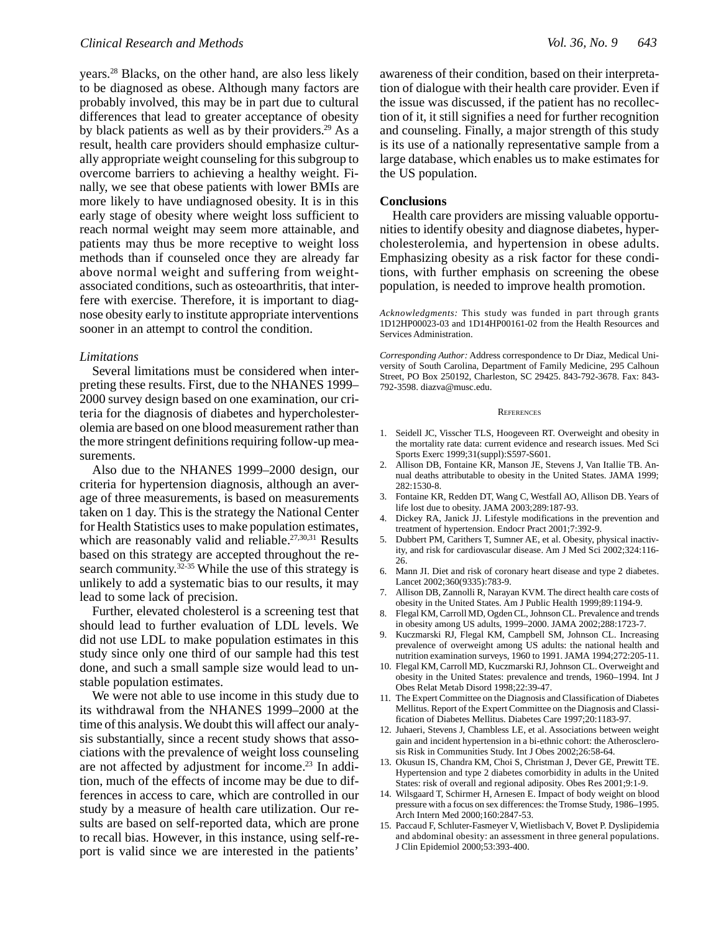years.<sup>28</sup> Blacks, on the other hand, are also less likely to be diagnosed as obese. Although many factors are probably involved, this may be in part due to cultural differences that lead to greater acceptance of obesity by black patients as well as by their providers.<sup>29</sup> As a result, health care providers should emphasize culturally appropriate weight counseling for this subgroup to overcome barriers to achieving a healthy weight. Finally, we see that obese patients with lower BMIs are more likely to have undiagnosed obesity. It is in this early stage of obesity where weight loss sufficient to reach normal weight may seem more attainable, and patients may thus be more receptive to weight loss methods than if counseled once they are already far above normal weight and suffering from weightassociated conditions, such as osteoarthritis, that interfere with exercise. Therefore, it is important to diagnose obesity early to institute appropriate interventions sooner in an attempt to control the condition.

#### *Limitations*

Several limitations must be considered when interpreting these results. First, due to the NHANES 1999– 2000 survey design based on one examination, our criteria for the diagnosis of diabetes and hypercholesterolemia are based on one blood measurement rather than the more stringent definitions requiring follow-up measurements.

Also due to the NHANES 1999–2000 design, our criteria for hypertension diagnosis, although an average of three measurements, is based on measurements taken on 1 day. This is the strategy the National Center for Health Statistics uses to make population estimates, which are reasonably valid and reliable.<sup>27,30,31</sup> Results based on this strategy are accepted throughout the research community.<sup>32-35</sup> While the use of this strategy is unlikely to add a systematic bias to our results, it may lead to some lack of precision.

Further, elevated cholesterol is a screening test that should lead to further evaluation of LDL levels. We did not use LDL to make population estimates in this study since only one third of our sample had this test done, and such a small sample size would lead to unstable population estimates.

We were not able to use income in this study due to its withdrawal from the NHANES 1999–2000 at the time of this analysis. We doubt this will affect our analysis substantially, since a recent study shows that associations with the prevalence of weight loss counseling are not affected by adjustment for income.<sup>23</sup> In addition, much of the effects of income may be due to differences in access to care, which are controlled in our study by a measure of health care utilization. Our results are based on self-reported data, which are prone to recall bias. However, in this instance, using self-report is valid since we are interested in the patients'

awareness of their condition, based on their interpretation of dialogue with their health care provider. Even if the issue was discussed, if the patient has no recollection of it, it still signifies a need for further recognition and counseling. Finally, a major strength of this study is its use of a nationally representative sample from a large database, which enables us to make estimates for the US population.

#### **Conclusions**

Health care providers are missing valuable opportunities to identify obesity and diagnose diabetes, hypercholesterolemia, and hypertension in obese adults. Emphasizing obesity as a risk factor for these conditions, with further emphasis on screening the obese population, is needed to improve health promotion.

*Acknowledgments:* This study was funded in part through grants 1D12HP00023-03 and 1D14HP00161-02 from the Health Resources and Services Administration.

*Corresponding Author:* Address correspondence to Dr Diaz, Medical University of South Carolina, Department of Family Medicine, 295 Calhoun Street, PO Box 250192, Charleston, SC 29425. 843-792-3678. Fax: 843- 792-3598. diazva@musc.edu.

#### **REFERENCES**

- 1. Seidell JC, Visscher TLS, Hoogeveen RT. Overweight and obesity in the mortality rate data: current evidence and research issues. Med Sci Sports Exerc 1999;31(suppl):S597-S601.
- 2. Allison DB, Fontaine KR, Manson JE, Stevens J, Van Itallie TB. Annual deaths attributable to obesity in the United States. JAMA 1999; 282:1530-8.
- 3. Fontaine KR, Redden DT, Wang C, Westfall AO, Allison DB. Years of life lost due to obesity. JAMA 2003;289:187-93.
- 4. Dickey RA, Janick JJ. Lifestyle modifications in the prevention and treatment of hypertension. Endocr Pract 2001;7:392-9.
- 5. Dubbert PM, Carithers T, Sumner AE, et al. Obesity, physical inactivity, and risk for cardiovascular disease. Am J Med Sci 2002;324:116- 26.
- 6. Mann JI. Diet and risk of coronary heart disease and type 2 diabetes. Lancet 2002;360(9335):783-9.
- 7. Allison DB, Zannolli R, Narayan KVM. The direct health care costs of obesity in the United States. Am J Public Health 1999;89:1194-9.
- 8. Flegal KM, Carroll MD, Ogden CL, Johnson CL. Prevalence and trends in obesity among US adults, 1999–2000. JAMA 2002;288:1723-7.
- 9. Kuczmarski RJ, Flegal KM, Campbell SM, Johnson CL. Increasing prevalence of overweight among US adults: the national health and nutrition examination surveys, 1960 to 1991. JAMA 1994;272:205-11.
- 10. Flegal KM, Carroll MD, Kuczmarski RJ, Johnson CL. Overweight and obesity in the United States: prevalence and trends, 1960–1994. Int J Obes Relat Metab Disord 1998;22:39-47.
- 11. The Expert Committee on the Diagnosis and Classification of Diabetes Mellitus. Report of the Expert Committee on the Diagnosis and Classification of Diabetes Mellitus. Diabetes Care 1997;20:1183-97.
- 12. Juhaeri, Stevens J, Chambless LE, et al. Associations between weight gain and incident hypertension in a bi-ethnic cohort: the Atherosclerosis Risk in Communities Study. Int J Obes 2002;26:58-64.
- 13. Okusun IS, Chandra KM, Choi S, Christman J, Dever GE, Prewitt TE. Hypertension and type 2 diabetes comorbidity in adults in the United States: risk of overall and regional adiposity. Obes Res 2001;9:1-9.
- 14. Wilsgaard T, Schirmer H, Arnesen E. Impact of body weight on blood pressure with a focus on sex differences: the Tromse Study, 1986–1995. Arch Intern Med 2000;160:2847-53.
- 15. Paccaud F, Schluter-Fasmeyer V, Wietlisbach V, Bovet P. Dyslipidemia and abdominal obesity: an assessment in three general populations. J Clin Epidemiol 2000;53:393-400.